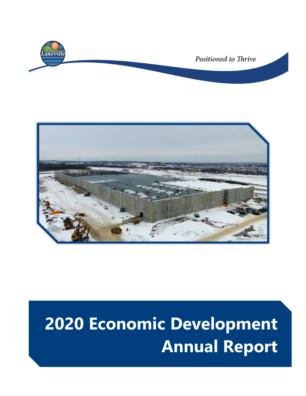



# **2020 Economic Development Annual Report**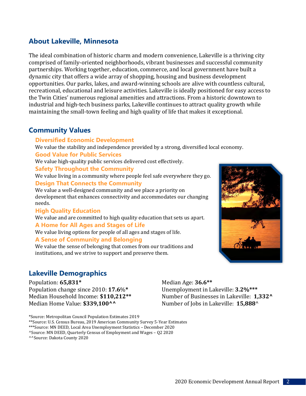## **About Lakeville, Minnesota**

The ideal combination of historic charm and modern convenience, Lakeville is a thriving city comprised of family-oriented neighborhoods, vibrant businesses and successful community partnerships. Working together, education, commerce, and local government have built a dynamic city that offers a wide array of shopping, housing and business development opportunities. Our parks, lakes, and award-winning schools are alive with countless cultural, recreational, educational and leisure activities. Lakeville is ideally positioned for easy access to the Twin Cities' numerous regional amenities and attractions. From a historic downtown to industrial and high-tech business parks, Lakeville continues to attract quality growth while maintaining the small-town feeling and high quality of life that makes it exceptional.

#### **Community Values**

#### **Diversified Economic Development**

We value the stability and independence provided by a strong, diversified local economy.

#### **Good Value for Public Services**

We value high-quality public services delivered cost effectively.

#### **Safety Throughout the Community**

We value living in a community where people feel safe everywhere they go.

#### **Design That Connects the Community**

We value a well-designed community and we place a priority on development that enhances connectivity and accommodates our changing needs.

#### **High Quality Education**

We value and are committed to high quality education that sets us apart.

#### **A Home for All Ages and Stages of Life**

We value living options for people of all ages and stages of life.

#### **A Sense of Community and Belonging**

We value the sense of belonging that comes from our traditions and institutions, and we strive to support and preserve them.

## **Lakeville Demographics**

Population: **65,831\*** Population change since 2010: **17.6**%**\*** Median Household Income: **\$110,212\*\*** Median Home Value: **\$339,100^^** 

\*Source: Metropolitan Council Population Estimates 2019

\*\*Source: U.S. Census Bureau, 2019 American Community Survey 5-Year Estimates

\*\*\*Source: MN DEED, Local Area Unemployment Statistics – December 2020

^^Source: Dakota County 2020

Median Age: **36.6\*\*** Unemployment in Lakeville: **3.2%\*\*\*** Number of Businesses in Lakeville: **1,332^**  Number of Jobs in Lakeville: **15,888**^



<sup>^</sup>Source: MN DEED, Quarterly Census of Employment and Wages – Q2 2020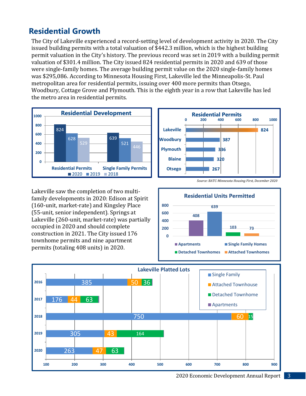## **Residential Growth**

The City of Lakeville experienced a record-setting level of development activity in 2020. The City issued building permits with a total valuation of \$442.3 million, which is the highest building permit valuation in the City's history. The previous record was set in 2019 with a building permit valuation of \$301.4 million. The City issued 824 residential permits in 2020 and 639 of those were single-family homes. The average building permit value on the 2020 single-family homes was \$295,086. According to Minnesota Housing First, Lakeville led the Minneapolis-St. Paul metropolitan area for residential permits, issuing over 400 more permits than Otsego, Woodbury, Cottage Grove and Plymouth. This is the eighth year in a row that Lakeville has led the metro area in residential permits.



Lakeville saw the completion of two multifamily developments in 2020: Edison at Spirit (160-unit, market-rate) and Kingsley Place (55-unit, senior independent). Springs at Lakeville (260-unit, market-rate) was partially occupied in 2020 and should complete construction in 2021. The City issued 176 townhome permits and nine apartment permits (totaling 408 units) in 2020.







2020 Economic Development Annual Report 3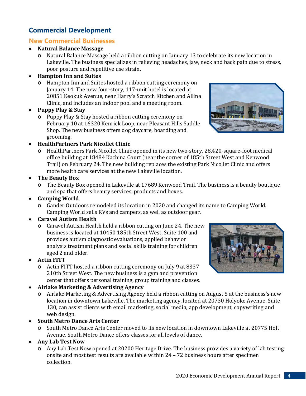## **Commercial Development**

## **New Commercial Businesses**

## • **Natural Balance Massage**

o Natural Balance Massage held a ribbon cutting on January 13 to celebrate its new location in Lakeville. The business specializes in relieving headaches, jaw, neck and back pain due to stress, poor posture and repetitive use strain.

## • **Hampton Inn and Suites**

o Hampton Inn and Suites hosted a ribbon cutting ceremony on January 14. The new four-story, 117-unit hotel is located at 20851 Keokuk Avenue, near Harry's Scratch Kitchen and Allina Clinic, and includes an indoor pool and a meeting room.

## • **Puppy Play & Stay**

o Puppy Play & Stay hosted a ribbon cutting ceremony on February 10 at 16320 Kenrick Loop, near Pleasant Hills Saddle Shop. The new business offers dog daycare, boarding and grooming.

## • **HealthPartners Park Nicollet Clinic**

o HealthPartners Park Nicollet Clinic opened in its new two-story, 28,420-square-foot medical office building at 18484 Kachina Court (near the corner of 185th Street West and Kenwood Trail) on February 24. The new building replaces the existing Park Nicollet Clinic and offers more health care services at the new Lakeville location.

## • **The Beauty Box**

o The Beauty Box opened in Lakeville at 17689 Kenwood Trail. The business is a beauty boutique and spa that offers beauty services, products and boxes.

## • **Camping World**

o Gander Outdoors remodeled its location in 2020 and changed its name to Camping World. Camping World sells RVs and campers, as well as outdoor gear.

## • **Caravel Autism Health**

o Caravel Autism Health held a ribbon cutting on June 24. The new business is located at 10450 185th Street West, Suite 100 and provides autism diagnostic evaluations, applied behavior analysis treatment plans and social skills training for children aged 2 and older.

## • **Actin FITT**

o Actin FITT hosted a ribbon cutting ceremony on July 9 at 8337 210th Street West. The new business is a gym and prevention center that offers personal training, group training and classes.

## • **Airlake Marketing & Advertising Agency**

o Airlake Marketing & Advertising Agency held a ribbon cutting on August 5 at the business's new location in downtown Lakeville. The marketing agency, located at 20730 Holyoke Avenue, Suite 130, can assist clients with email marketing, social media, app development, copywriting and web design.

## • **South Metro Dance Arts Center**

o South Metro Dance Arts Center moved to its new location in downtown Lakeville at 20775 Holt Avenue. South Metro Dance offers classes for all levels of dance.

## • **Any Lab Test Now**

o Any Lab Test Now opened at 20200 Heritage Drive. The business provides a variety of lab testing onsite and most test results are available within 24 – 72 business hours after specimen collection.



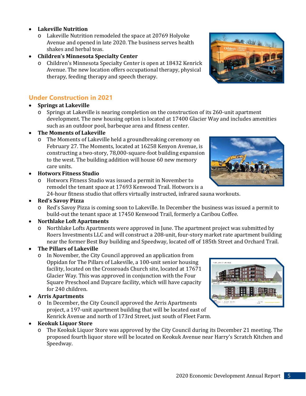- **Lakeville Nutrition** 
	- o Lakeville Nutrition remodeled the space at 20769 Holyoke Avenue and opened in late 2020. The business serves health shakes and herbal teas.
- **Children's Minnesota Specialty Center**
	- o Children's Minnesota Specialty Center is open at 18432 Kenrick Avenue. The new location offers occupational therapy, physical therapy, feeding therapy and speech therapy.

## **Under Construction in 2021**

#### • **Springs at Lakeville**

o Springs at Lakeville is nearing completion on the construction of its 260-unit apartment development. The new housing option is located at 17400 Glacier Way and includes amenities such as an outdoor pool, barbeque area and fitness center.

#### • **The Moments of Lakeville**

- o The Moments of Lakeville held a groundbreaking ceremony on February 27. The Moments, located at 16258 Kenyon Avenue, is constructing a two-story, 78,000-square-foot building expansion to the west. The building addition will house 60 new memory care units.
- **Hotworx Fitness Studio**
	- o Hotworx Fitness Studio was issued a permit in November to remodel the tenant space at 17693 Kenwood Trail. Hotworx is a

24-hour fitness studio that offers virtually instructed, infrared sauna workouts.

- **Red's Savoy Pizza**
	- o Red's Savoy Pizza is coming soon to Lakeville. In December the business was issued a permit to build-out the tenant space at 17450 Kenwood Trail, formerly a Caribou Coffee.

#### • **Northlake Loft Apartments**

o Northlake Lofts Apartments were approved in June. The apartment project was submitted by Roers Investments LLC and will construct a 208-unit, four-story market rate apartment building near the former Best Buy building and Speedway, located off of 185th Street and Orchard Trail.

#### • **The Pillars of Lakeville**

- o In November, the City Council approved an application from Oppidan for The Pillars of Lakeville, a 100-unit senior housing facility, located on the Crossroads Church site, located at 17671 Glacier Way. This was approved in conjunction with the Four Square Preschool and Daycare facility, which will have capacity for 240 children.
- **Arris Apartments**
	- o In December, the City Council approved the Arris Apartments project, a 197-unit apartment building that will be located east of Kenrick Avenue and north of 173rd Street, just south of Fleet Farm.

#### • **Keokuk Liquor Store**

o The Keokuk Liquor Store was approved by the City Council during its December 21 meeting. The proposed fourth liquor store will be located on Keokuk Avenue near Harry's Scratch Kitchen and Speedway.





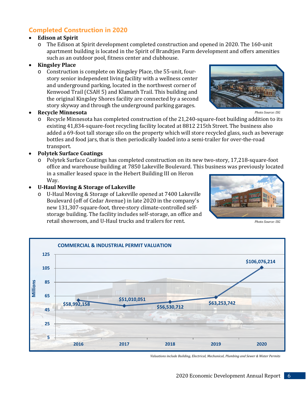## **Completed Construction in 2020**

#### • **Edison at Spirit**

o The Edison at Spirit development completed construction and opened in 2020. The 160-unit apartment building is located in the Spirit of Brandtjen Farm development and offers amenities such as an outdoor pool, fitness center and clubhouse.

#### • **Kingsley Place**

o Construction is complete on Kingsley Place, the 55-unit, fourstory senior independent living facility with a wellness center and underground parking, located in the northwest corner of Kenwood Trail (CSAH 5) and Klamath Trail. This building and the original Kingsley Shores facility are connected by a second story skyway and through the underground parking garages.



*Photo Source: ISG*

#### • **Recycle Minnesota**

 $\circ$  Recycle Minnesota has completed construction of the 21,240-square-foot building addition to its existing 41,834-square-foot recycling facility located at 8812 215th Street. The business also added a 69-foot tall storage silo on the property which will store recycled glass, such as beverage bottles and food jars, that is then periodically loaded into a semi-trailer for over-the-road transport.

#### • **Polytek Surface Coatings**

o Polytek Surface Coatings has completed construction on its new two-story, 17,218-square-foot office and warehouse building at 7850 Lakeville Boulevard. This business was previously located in a smaller leased space in the Hebert Building III on Heron Way.

#### • **U-Haul Moving & Storage of Lakeville**

o U-Haul Moving & Storage of Lakeville opened at 7400 Lakeville Boulevard (off of Cedar Avenue) in late 2020 in the company's new 131,307-square-foot, three-story climate-controlled selfstorage building. The facility includes self-storage, an office and retail showroom, and U-Haul trucks and trailers for rent.



*Photo Source: ISG*



*Valuations include Building, Electrical, Mechanical, Plumbing and Sewer & Water Permits*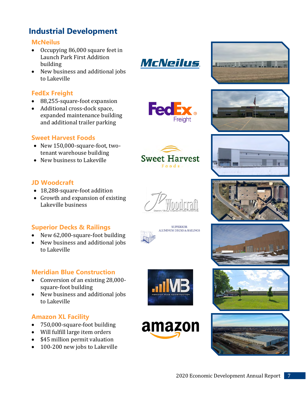# **Industrial Development**

#### **McNeilus**

- Occupying 86,000 square feet in Launch Park First Addition building
- New business and additional jobs to Lakeville

## **FedEx Freight**

- 88,255-square-foot expansion
- Additional cross-dock space, expanded maintenance building and additional trailer parking

## **Sweet Harvest Foods**

- New 150,000-square-foot, twotenant warehouse building
- New business to Lakeville

## **JD Woodcraft**

- 18,288-square-foot addition
- Growth and expansion of existing Lakeville business

## **Superior Decks & Railings**

- New 62,000-square-foot building
- New business and additional jobs to Lakeville

## **Meridian Blue Construction**

- Conversion of an existing 28,000 square-foot building
- New business and additional jobs to Lakeville

## **Amazon XL Facility**

- 750,000-square-foot building
- Will fulfill large item orders
- \$45 million permit valuation
- 100-200 new jobs to Lakeville





















**Sweet Harvest** Foods

**FedE** 

**McNeilus** 





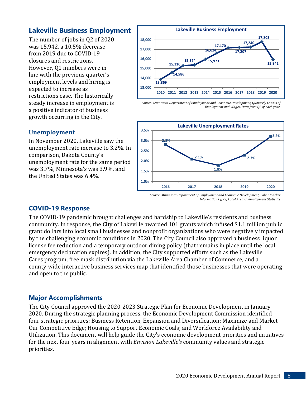## **Lakeville Business Employment**

The number of jobs in Q2 of 2020 was 15,942, a 10.5% decrease from 2019 due to COVID-19 closures and restrictions. However, Q1 numbers were in line with the previous quarter's employment levels and hiring is expected to increase as restrictions ease. The historically steady increase in employment is a positive indicator of business growth occurring in the City.



*Source: Minnesota Department of Employment and Economic Development, Quarterly Census of Employment and Wages. Data from Q2 of each year.*



In November 2020, Lakeville saw the unemployment rate increase to 3.2%. In comparison, Dakota County's unemployment rate for the same period was 3.7%, Minnesota's was 3.9%, and the United States was 6.4%.

#### **COVID-19 Response**

The COVID-19 pandemic brought challenges and hardship to Lakeville's residents and business community. In response, the City of Lakeville awarded 101 grants which infused \$1.1 million public grant dollars into local small businesses and nonprofit organizations who were negatively impacted by the challenging economic conditions in 2020. The City Council also approved a business liquor license fee reduction and a temporary outdoor dining policy (that remains in place until the local emergency declaration expires). In addition, the City supported efforts such as the Lakeville Cares program, free mask distribution via the Lakeville Area Chamber of Commerce, and a county-wide interactive business services map that identified those businesses that were operating and open to the public.

## **Major Accomplishments**

The City Council approved the 2020-2023 Strategic Plan for Economic Development in January 2020. During the strategic planning process, the Economic Development Commission identified four strategic priorities: Business Retention, Expansion and Diversification; Maximize and Market Our Competitive Edge; Housing to Support Economic Goals; and Workforce Availability and Utilization. This document will help guide the City's economic development priorities and initiatives for the next four years in alignment with *Envision Lakeville's* community values and strategic priorities.

**Unemployment**

*Source: Minnesota Department of Employment and Economic Development, Labor Market Information Office, Local Area Unemployment Statistics*